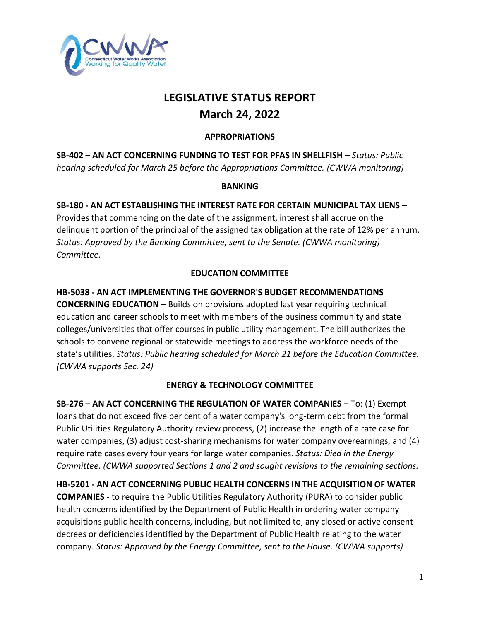

# **LEGISLATIVE STATUS REPORT March 24, 2022**

#### **APPROPRIATIONS**

**SB-402 – AN ACT CONCERNING FUNDING TO TEST FOR PFAS IN SHELLFISH –** *Status: Public hearing scheduled for March 25 before the Appropriations Committee. (CWWA monitoring)*

#### **BANKING**

### **SB-180 - AN ACT ESTABLISHING THE INTEREST RATE FOR CERTAIN MUNICIPAL TAX LIENS –**

Provides that commencing on the date of the assignment, interest shall accrue on the delinquent portion of the principal of the assigned tax obligation at the rate of 12% per annum. *Status: Approved by the Banking Committee, sent to the Senate. (CWWA monitoring) Committee.* 

#### **EDUCATION COMMITTEE**

#### **HB-5038 - AN ACT IMPLEMENTING THE GOVERNOR'S BUDGET RECOMMENDATIONS**

**CONCERNING EDUCATION –** Builds on provisions adopted last year requiring technical education and career schools to meet with members of the business community and state colleges/universities that offer courses in public utility management. The bill authorizes the schools to convene regional or statewide meetings to address the workforce needs of the state's utilities. *Status: Public hearing scheduled for March 21 before the Education Committee. (CWWA supports Sec. 24)*

#### **ENERGY & TECHNOLOGY COMMITTEE**

**SB-276 – AN ACT CONCERNING THE REGULATION OF WATER COMPANIES –** To: (1) Exempt loans that do not exceed five per cent of a water company's long-term debt from the formal Public Utilities Regulatory Authority review process, (2) increase the length of a rate case for water companies, (3) adjust cost-sharing mechanisms for water company overearnings, and (4) require rate cases every four years for large water companies. *Status: Died in the Energy Committee. (CWWA supported Sections 1 and 2 and sought revisions to the remaining sections.* 

**HB-5201 - AN ACT CONCERNING PUBLIC HEALTH CONCERNS IN THE ACQUISITION OF WATER COMPANIES** - to require the Public Utilities Regulatory Authority (PURA) to consider public health concerns identified by the Department of Public Health in ordering water company acquisitions public health concerns, including, but not limited to, any closed or active consent decrees or deficiencies identified by the Department of Public Health relating to the water company. *Status: Approved by the Energy Committee, sent to the House. (CWWA supports)*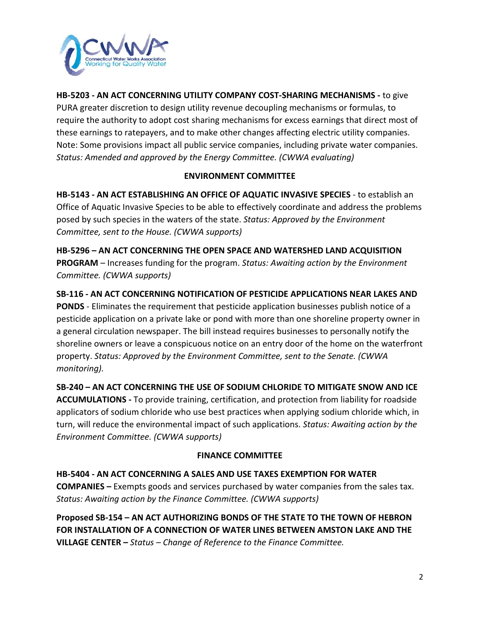

**HB-5203 - AN ACT CONCERNING UTILITY COMPANY COST-SHARING MECHANISMS -** to give PURA greater discretion to design utility revenue decoupling mechanisms or formulas, to require the authority to adopt cost sharing mechanisms for excess earnings that direct most of these earnings to ratepayers, and to make other changes affecting electric utility companies. Note: Some provisions impact all public service companies, including private water companies. *Status: Amended and approved by the Energy Committee. (CWWA evaluating)*

#### **ENVIRONMENT COMMITTEE**

**HB-5143 - AN ACT ESTABLISHING AN OFFICE OF AQUATIC INVASIVE SPECIES** - to establish an Office of Aquatic Invasive Species to be able to effectively coordinate and address the problems posed by such species in the waters of the state. *Status: Approved by the Environment Committee, sent to the House. (CWWA supports)*

**HB-5296 – AN ACT CONCERNING THE OPEN SPACE AND WATERSHED LAND ACQUISITION PROGRAM** – Increases funding for the program. *Status: Awaiting action by the Environment Committee. (CWWA supports)*

**SB-116 - AN ACT CONCERNING NOTIFICATION OF PESTICIDE APPLICATIONS NEAR LAKES AND PONDS** - Eliminates the requirement that pesticide application businesses publish notice of a pesticide application on a private lake or pond with more than one shoreline property owner in a general circulation newspaper. The bill instead requires businesses to personally notify the shoreline owners or leave a conspicuous notice on an entry door of the home on the waterfront property. *Status: Approved by the Environment Committee, sent to the Senate. (CWWA monitoring).*

**SB-240 – AN ACT CONCERNING THE USE OF SODIUM CHLORIDE TO MITIGATE SNOW AND ICE ACCUMULATIONS -** To provide training, certification, and protection from liability for roadside applicators of sodium chloride who use best practices when applying sodium chloride which, in turn, will reduce the environmental impact of such applications. *Status: Awaiting action by the Environment Committee. (CWWA supports)*

#### **FINANCE COMMITTEE**

**HB-5404 - AN ACT CONCERNING A SALES AND USE TAXES EXEMPTION FOR WATER COMPANIES –** Exempts goods and services purchased by water companies from the sales tax. *Status: Awaiting action by the Finance Committee. (CWWA supports)* 

**Proposed SB-154 – AN ACT AUTHORIZING BONDS OF THE STATE TO THE TOWN OF HEBRON FOR INSTALLATION OF A CONNECTION OF WATER LINES BETWEEN AMSTON LAKE AND THE VILLAGE CENTER –** *Status – Change of Reference to the Finance Committee.*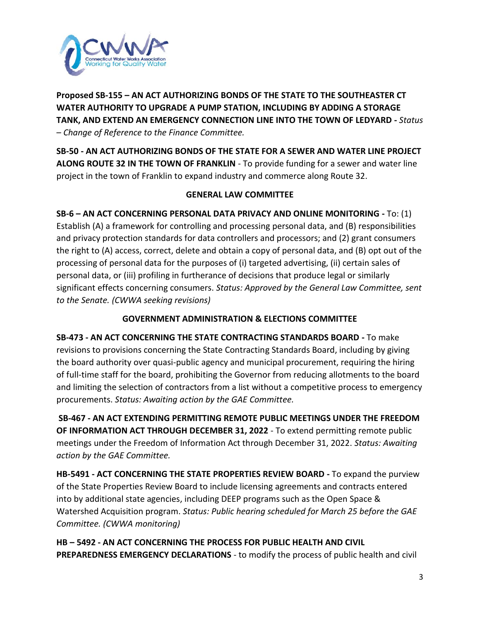

**Proposed SB-155 – AN ACT AUTHORIZING BONDS OF THE STATE TO THE SOUTHEASTER CT WATER AUTHORITY TO UPGRADE A PUMP STATION, INCLUDING BY ADDING A STORAGE TANK, AND EXTEND AN EMERGENCY CONNECTION LINE INTO THE TOWN OF LEDYARD -** *Status – Change of Reference to the Finance Committee.*

**SB-50 - AN ACT AUTHORIZING BONDS OF THE STATE FOR A SEWER AND WATER LINE PROJECT ALONG ROUTE 32 IN THE TOWN OF FRANKLIN** - To provide funding for a sewer and water line project in the town of Franklin to expand industry and commerce along Route 32.

#### **GENERAL LAW COMMITTEE**

**SB-6 – AN ACT CONCERNING PERSONAL DATA PRIVACY AND ONLINE MONITORING -** To: (1) Establish (A) a framework for controlling and processing personal data, and (B) responsibilities and privacy protection standards for data controllers and processors; and (2) grant consumers the right to (A) access, correct, delete and obtain a copy of personal data, and (B) opt out of the processing of personal data for the purposes of (i) targeted advertising, (ii) certain sales of personal data, or (iii) profiling in furtherance of decisions that produce legal or similarly significant effects concerning consumers. *Status: Approved by the General Law Committee, sent to the Senate. (CWWA seeking revisions)*

#### **GOVERNMENT ADMINISTRATION & ELECTIONS COMMITTEE**

**SB-473 - AN ACT CONCERNING THE STATE CONTRACTING STANDARDS BOARD -** To make revisions to provisions concerning the State Contracting Standards Board, including by giving the board authority over quasi-public agency and municipal procurement, requiring the hiring of full-time staff for the board, prohibiting the Governor from reducing allotments to the board and limiting the selection of contractors from a list without a competitive process to emergency procurements. *Status: Awaiting action by the GAE Committee.*

**SB-467 - AN ACT EXTENDING PERMITTING REMOTE PUBLIC MEETINGS UNDER THE FREEDOM OF INFORMATION ACT THROUGH DECEMBER 31, 2022** - To extend permitting remote public meetings under the Freedom of Information Act through December 31, 2022. *Status: Awaiting action by the GAE Committee.*

**HB-5491 - ACT CONCERNING THE STATE PROPERTIES REVIEW BOARD -** To expand the purview of the State Properties Review Board to include licensing agreements and contracts entered into by additional state agencies, including DEEP programs such as the Open Space & Watershed Acquisition program. *Status: Public hearing scheduled for March 25 before the GAE Committee. (CWWA monitoring)*

**HB – 5492 - AN ACT CONCERNING THE PROCESS FOR PUBLIC HEALTH AND CIVIL PREPAREDNESS EMERGENCY DECLARATIONS** - to modify the process of public health and civil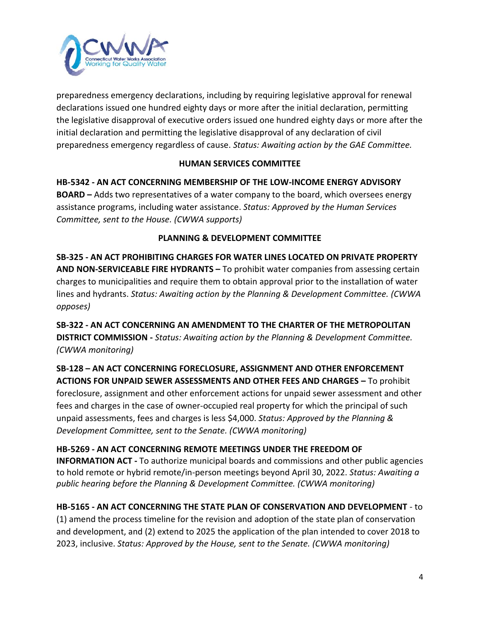

preparedness emergency declarations, including by requiring legislative approval for renewal declarations issued one hundred eighty days or more after the initial declaration, permitting the legislative disapproval of executive orders issued one hundred eighty days or more after the initial declaration and permitting the legislative disapproval of any declaration of civil preparedness emergency regardless of cause. *Status: Awaiting action by the GAE Committee.*

### **HUMAN SERVICES COMMITTEE**

**HB-5342 - AN ACT CONCERNING MEMBERSHIP OF THE LOW-INCOME ENERGY ADVISORY BOARD –** Adds two representatives of a water company to the board, which oversees energy assistance programs, including water assistance. *Status: Approved by the Human Services Committee, sent to the House. (CWWA supports)*

#### **PLANNING & DEVELOPMENT COMMITTEE**

**SB-325 - AN ACT PROHIBITING CHARGES FOR WATER LINES LOCATED ON PRIVATE PROPERTY AND NON-SERVICEABLE FIRE HYDRANTS –** To prohibit water companies from assessing certain charges to municipalities and require them to obtain approval prior to the installation of water lines and hydrants. *Status: Awaiting action by the Planning & Development Committee. (CWWA opposes)*

**SB-322 - AN ACT CONCERNING AN AMENDMENT TO THE CHARTER OF THE METROPOLITAN DISTRICT COMMISSION -** *Status: Awaiting action by the Planning & Development Committee. (CWWA monitoring)*

**SB-128 – AN ACT CONCERNING FORECLOSURE, ASSIGNMENT AND OTHER ENFORCEMENT ACTIONS FOR UNPAID SEWER ASSESSMENTS AND OTHER FEES AND CHARGES –** To prohibit foreclosure, assignment and other enforcement actions for unpaid sewer assessment and other fees and charges in the case of owner-occupied real property for which the principal of such unpaid assessments, fees and charges is less \$4,000. *Status: Approved by the Planning & Development Committee, sent to the Senate. (CWWA monitoring)*

## **HB-5269 - AN ACT CONCERNING REMOTE MEETINGS UNDER THE FREEDOM OF**

**INFORMATION ACT -** To authorize municipal boards and commissions and other public agencies to hold remote or hybrid remote/in-person meetings beyond April 30, 2022. *Status: Awaiting a public hearing before the Planning & Development Committee. (CWWA monitoring)*

## **HB-5165 - AN ACT CONCERNING THE STATE PLAN OF CONSERVATION AND DEVELOPMENT** - to

(1) amend the process timeline for the revision and adoption of the state plan of conservation and development, and (2) extend to 2025 the application of the plan intended to cover 2018 to 2023, inclusive. *Status: Approved by the House, sent to the Senate. (CWWA monitoring)*